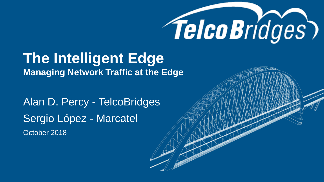

# **The Intelligent Edge**

**Managing Network Traffic at the Edge**

Alan D. Percy - TelcoBridges Sergio López - Marcatel October 2018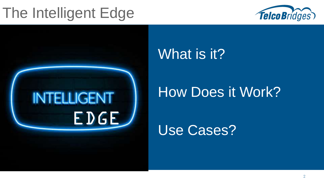### The Intelligent Edge





#### What is it?

#### How Does it Work?

Use Cases?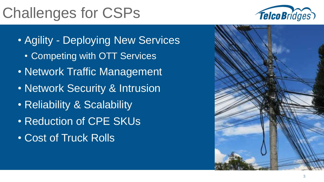## Challenges for CSPs



- Agility Deploying New Services
	- Competing with OTT Services
- Network Traffic Management
- Network Security & Intrusion
- Reliability & Scalability
- Reduction of CPE SKUs
- Cost of Truck Rolls

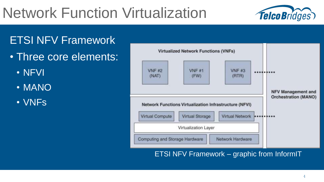## Network Function Virtualization



#### ETSI NFV Framework

- Three core elements:
	- NFVI
	- MANO
	- VNFs



ETSI NFV Framework – graphic from InformIT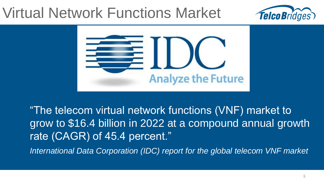#### Virtual Network Functions Market





"The telecom virtual network functions (VNF) market to grow to \$16.4 billion in 2022 at a compound annual growth rate (CAGR) of 45.4 percent."

*International Data Corporation (IDC) report for the global telecom VNF market*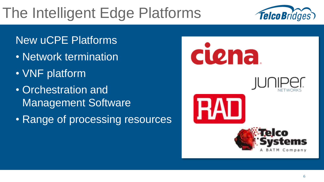## The Intelligent Edge Platforms



#### New uCPE Platforms

- Network termination
- VNF platform
- Orchestration and Management Software
- Range of processing resources

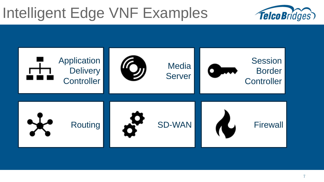#### Intelligent Edge VNF Examples



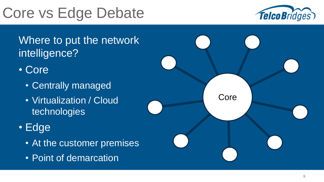## Core vs Edge Debate



Where to put the network intelligence?

- Core
	- Centrally managed
	- Virtualization / Cloud technologies
- Edge
	- At the customer premises
	- Point of demarcation

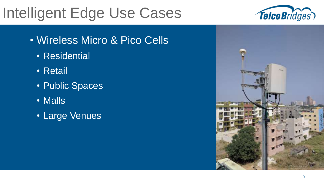### Intelligent Edge Use Cases

- Wireless Micro & Pico Cells
	- Residential
	- Retail
	- Public Spaces
	- Malls
	- Large Venues



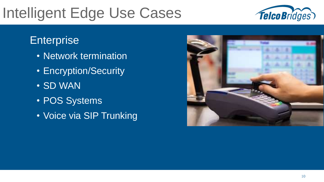## Intelligent Edge Use Cases



#### **Enterprise**

- Network termination
- Encryption/Security
- SD WAN
- POS Systems
- Voice via SIP Trunking

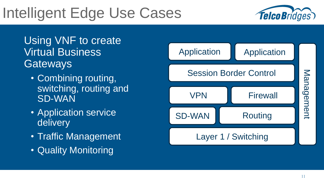### Intelligent Edge Use Cases



Using VNF to create Virtual Business **Gateways** 

- Combining routing, switching, routing and SD-WAN
- Application service delivery
- Traffic Management
- Quality Monitoring

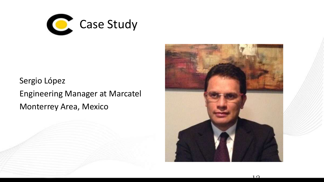

Sergio López Engineering Manager at Marcatel Monterrey Area, Mexico

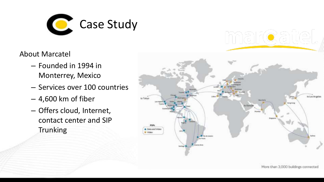

About Marcatel

- Founded in 1994 in Monterrey, Mexico
- Services over 100 countries
- 4,600 km of fiber
- Offers cloud, Internet, contact center and SIP **Trunking**

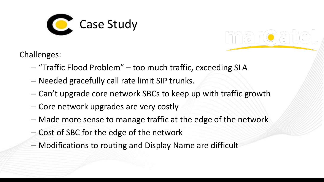

Challenges:

- "Traffic Flood Problem" too much traffic, exceeding SLA
- Needed gracefully call rate limit SIP trunks.
- Can't upgrade core network SBCs to keep up with traffic growth
- Core network upgrades are very costly
- Made more sense to manage traffic at the edge of the network
- Cost of SBC for the edge of the network
- Modifications to routing and Display Name are difficult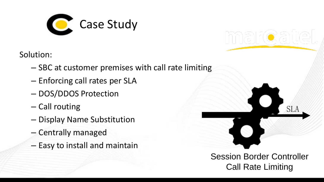

Solution:

- SBC at customer premises with call rate limiting
- Enforcing call rates per SLA
- DOS/DDOS Protection
- Call routing
- Display Name Substitution
- Centrally managed
- Easy to install and maintain

Session Border Controller Call Rate Limiting

SLA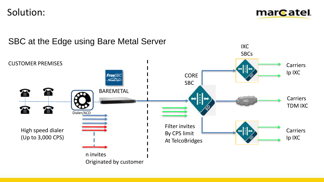Solution:

mar<sub>C</sub>atel.

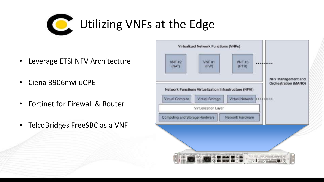

- Leverage ETSI NFV Architecture
- Ciena 3906mvi uCPE
- Fortinet for Firewall & Router
- TelcoBridges FreeSBC as a VNF

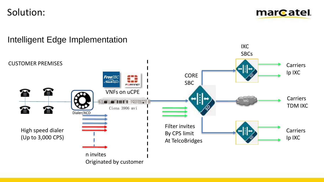Solution:

marcatel.

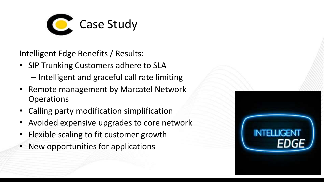

Intelligent Edge Benefits / Results:

- SIP Trunking Customers adhere to SLA – Intelligent and graceful call rate limiting
- Remote management by Marcatel Network Operations
- Calling party modification simplification
- Avoided expensive upgrades to core network
- Flexible scaling to fit customer growth
- New opportunities for applications